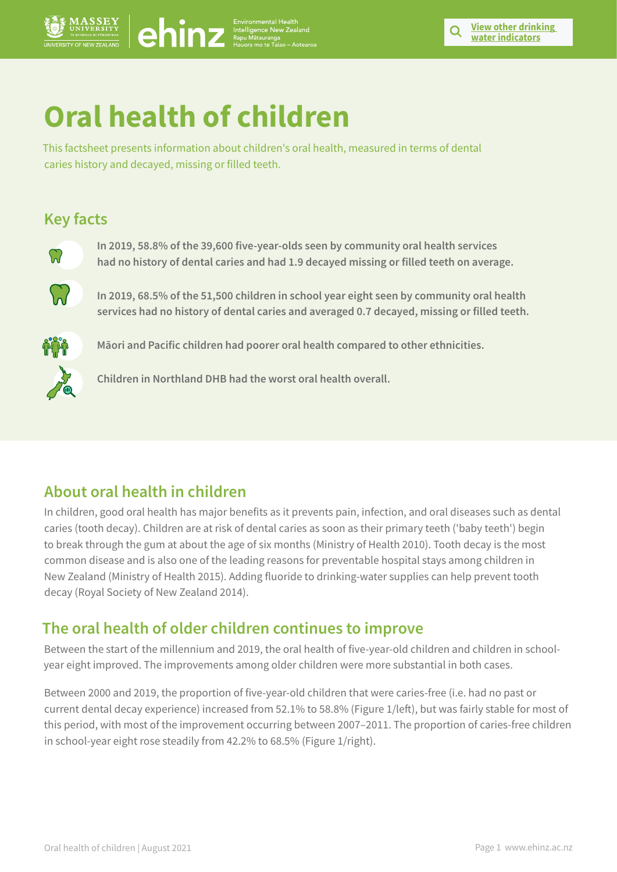

# **Oral health of children**

This factsheet presents information about children's oral health, measured in terms of dental caries history and decayed, missing or filled teeth.

## **Key facts**



**In 2019, 58.8% of the 39,600 five-year-olds seen by community oral health services had no history of dental caries and had 1.9 decayed missing or filled teeth on average.** 



**In 2019, 68.5% of the 51,500 children in school year eight seen by community oral health services had no history of dental caries and averaged 0.7 decayed, missing or filled teeth.** 



**Māori and Pacific children had poorer oral health compared to other ethnicities.**

**Children in Northland DHB had the worst oral health overall.**

# **About oral health in children**

In children, good oral health has major benefits as it prevents pain, infection, and oral diseases such as dental caries (tooth decay). Children are at risk of dental caries as soon as their primary teeth ('baby teeth') begin to break through the gum at about the age of six months (Ministry of Health 2010). Tooth decay is the most common disease and is also one of the leading reasons for preventable hospital stays among children in New Zealand (Ministry of Health 2015). Adding fluoride to drinking-water supplies can help prevent tooth decay (Royal Society of New Zealand 2014). Oral health of children | August 2021 Page 1 www.ehinz.ac.nz **View other drinking** 

## **The oral health of older children continues to improve**

Between the start of the millennium and 2019, the oral health of five-year-old children and children in schoolyear eight improved. The improvements among older children were more substantial in both cases.

Between 2000 and 2019, the proportion of five-year-old children that were caries-free (i.e. had no past or current dental decay experience) increased from 52.1% to 58.8% (Figure 1/left), but was fairly stable for most of this period, with most of the improvement occurring between 2007–2011. The proportion of caries-free children in school-year eight rose steadily from 42.2% to 68.5% (Figure 1/right).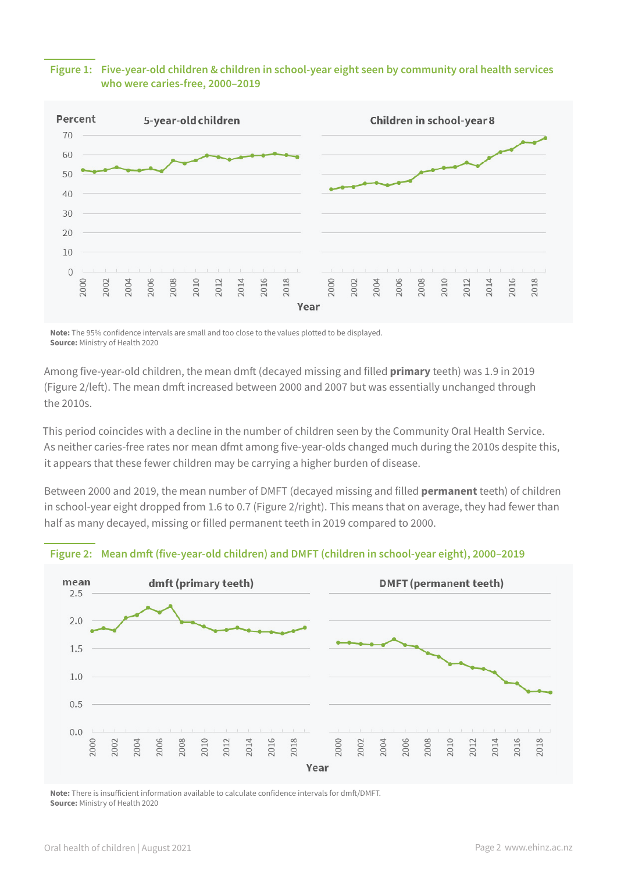#### **Figure 1: Five-year-old children & children in school-year eight seen by community oral health services who were caries-free, 2000–2019**



**Note:** The 95% confidence intervals are small and too close to the values plotted to be displayed. **Source:** Ministry of Health 2020

Among five-year-old children, the mean dmft (decayed missing and filled **primary** teeth) was 1.9 in 2019 (Figure 2/left). The mean dmft increased between 2000 and 2007 but was essentially unchanged through the 2010s.

This period coincides with a decline in the number of children seen by the Community Oral Health Service. As neither caries-free rates nor mean dfmt among five-year-olds changed much during the 2010s despite this, it appears that these fewer children may be carrying a higher burden of disease.

Between 2000 and 2019, the mean number of DMFT (decayed missing and filled **permanent** teeth) of children in school-year eight dropped from 1.6 to 0.7 (Figure 2/right). This means that on average, they had fewer than half as many decayed, missing or filled permanent teeth in 2019 compared to 2000.



#### **Figure 2: Mean dmft (five-year-old children) and DMFT (children in school-year eight), 2000–2019**

**Note:** There is insufficient information available to calculate confidence intervals for dmft/DMFT. **Source:** Ministry of Health 2020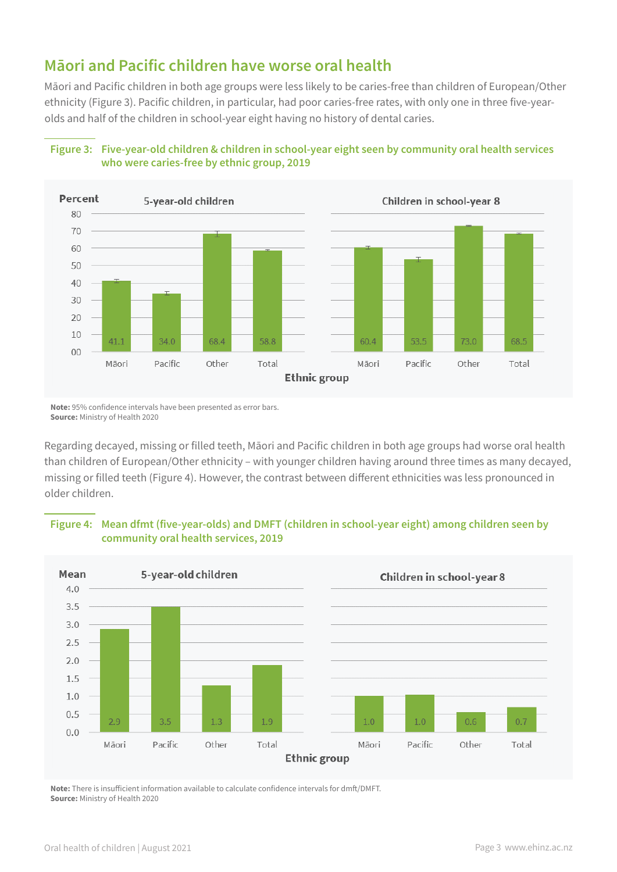## **Māori and Pacific children have worse oral health**

Māori and Pacific children in both age groups were less likely to be caries-free than children of European/Other ethnicity (Figure 3). Pacific children, in particular, had poor caries-free rates, with only one in three five-yearolds and half of the children in school-year eight having no history of dental caries.

#### **Figure 3: Five-year-old children & children in school-year eight seen by community oral health services who were caries-free by ethnic group, 2019**



**Note:** 95% confidence intervals have been presented as error bars. **Source:** Ministry of Health 2020

Regarding decayed, missing or filled teeth, Māori and Pacific children in both age groups had worse oral health than children of European/Other ethnicity – with younger children having around three times as many decayed, missing or filled teeth (Figure 4). However, the contrast between different ethnicities was less pronounced in older children.

#### **Figure 4: Mean dfmt (five-year-olds) and DMFT (children in school-year eight) among children seen by community oral health services, 2019**



**Note:** There is insufficient information available to calculate confidence intervals for dmft/DMFT. **Source:** Ministry of Health 2020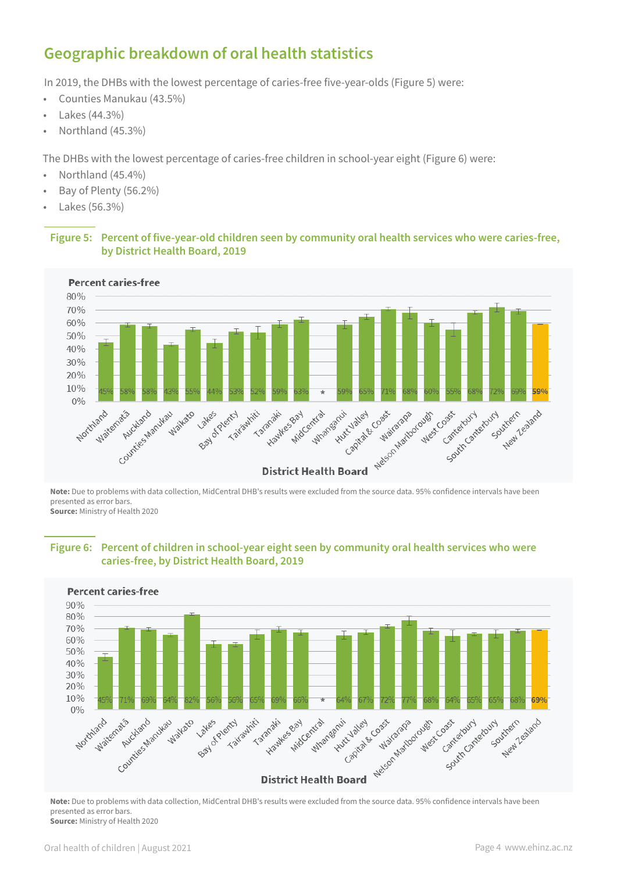# **Geographic breakdown of oral health statistics**

In 2019, the DHBs with the lowest percentage of caries-free five-year-olds (Figure 5) were:

- Counties Manukau (43.5%)
- Lakes (44.3%)
- Northland (45.3%)

The DHBs with the lowest percentage of caries-free children in school-year eight (Figure 6) were:

- Northland (45.4%)
- Bay of Plenty (56.2%)
- Lakes (56.3%)

#### **Figure 5: Percent of five-year-old children seen by community oral health services who were caries-free, by District Health Board, 2019**



**Note:** Due to problems with data collection, MidCentral DHB's results were excluded from the source data. 95% confidence intervals have been presented as error bars. **Source:** Ministry of Health 2020

**Figure 6: Percent of children in school-year eight seen by community oral health services who were caries-free, by District Health Board, 2019**



**Note:** Due to problems with data collection, MidCentral DHB's results were excluded from the source data. 95% confidence intervals have been presented as error bars. **Source:** Ministry of Health 2020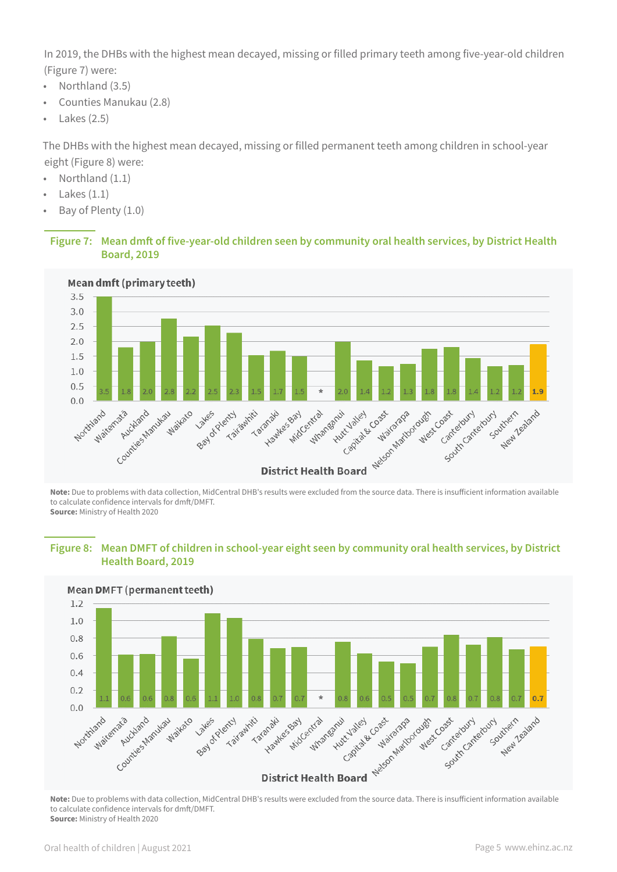In 2019, the DHBs with the highest mean decayed, missing or filled primary teeth among five-year-old children (Figure 7) were:

- Northland (3.5)
- Counties Manukau (2.8)
- $\cdot$  Lakes (2.5)

The DHBs with the highest mean decayed, missing or filled permanent teeth among children in school-year eight (Figure 8) were:

- Northland (1.1)
- Lakes  $(1.1)$
- Bay of Plenty (1.0)

#### **Figure 7: Mean dmft of five-year-old children seen by community oral health services, by District Health Board, 2019**



**Note:** Due to problems with data collection, MidCentral DHB's results were excluded from the source data. There is insufficient information available to calculate confidence intervals for dmft/DMFT. **Source:** Ministry of Health 2020

#### **Figure 8: Mean DMFT of children in school-year eight seen by community oral health services, by District Health Board, 2019**



**Note:** Due to problems with data collection, MidCentral DHB's results were excluded from the source data. There is insufficient information available to calculate confidence intervals for dmft/DMFT. **Source:** Ministry of Health 2020